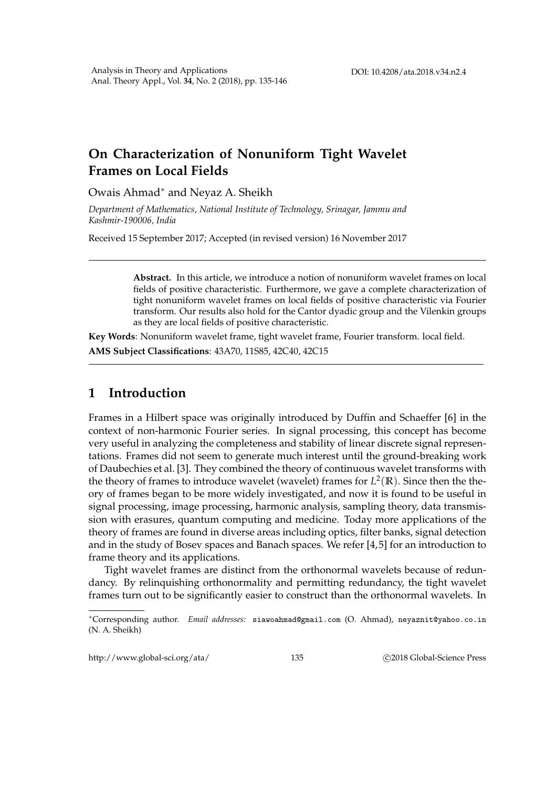## **On Characterization of Nonuniform Tight Wavelet Frames on Local Fields**

Owais Ahmad<sup>∗</sup> and Neyaz A. Sheikh

*Department of Mathematics, National Institute of Technology, Srinagar, Jammu and Kashmir-190006, India*

Received 15 September 2017; Accepted (in revised version) 16 November 2017

**Abstract.** In this article, we introduce a notion of nonuniform wavelet frames on local fields of positive characteristic. Furthermore, we gave a complete characterization of tight nonuniform wavelet frames on local fields of positive characteristic via Fourier transform. Our results also hold for the Cantor dyadic group and the Vilenkin groups as they are local fields of positive characteristic.

**Key Words**: Nonuniform wavelet frame, tight wavelet frame, Fourier transform. local field. **AMS Subject Classifications**: 43A70, 11S85, 42C40, 42C15

**1 Introduction**

Frames in a Hilbert space was originally introduced by Duffin and Schaeffer [6] in the context of non-harmonic Fourier series. In signal processing, this concept has become very useful in analyzing the completeness and stability of linear discrete signal representations. Frames did not seem to generate much interest until the ground-breaking work of Daubechies et al. [3]. They combined the theory of continuous wavelet transforms with the theory of frames to introduce wavelet (wavelet) frames for  $L^2(\mathbb{R})$ . Since then the theory of frames began to be more widely investigated, and now it is found to be useful in signal processing, image processing, harmonic analysis, sampling theory, data transmission with erasures, quantum computing and medicine. Today more applications of the theory of frames are found in diverse areas including optics, filter banks, signal detection and in the study of Bosev spaces and Banach spaces. We refer [4, 5] for an introduction to frame theory and its applications.

Tight wavelet frames are distinct from the orthonormal wavelets because of redundancy. By relinquishing orthonormality and permitting redundancy, the tight wavelet frames turn out to be significantly easier to construct than the orthonormal wavelets. In

http://www.global-sci.org/ata/ 135 C 2018 Global-Science Press

<sup>∗</sup>Corresponding author. *Email addresses:* siawoahmad@gmail.com (O. Ahmad), neyaznit@yahoo.co.in (N. A. Sheikh)